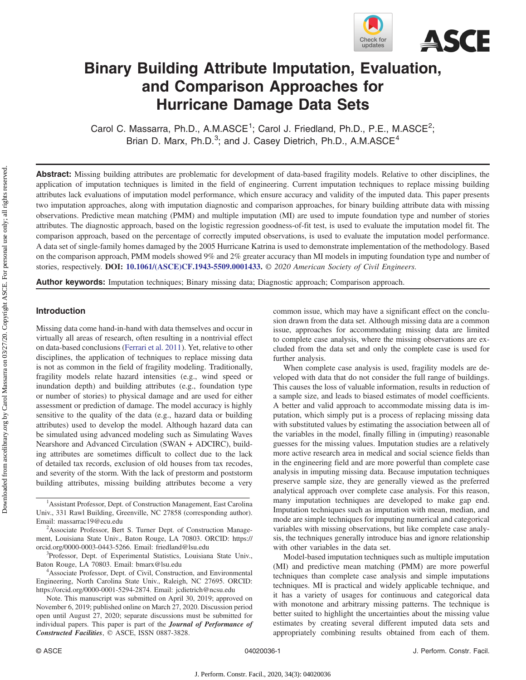

# Binary Building Attribute Imputation, Evaluation, and Comparison Approaches for Hurricane Damage Data Sets

Carol C. Massarra, Ph.D., A.M.ASCE<sup>1</sup>; Carol J. Friedland, Ph.D., P.E., M.ASCE<sup>2</sup>; Brian D. Marx,  $Ph.D.^3$ ; and J. Casey Dietrich,  $Ph.D., A.M.ASCE<sup>4</sup>$ 

Abstract: Missing building attributes are problematic for development of data-based fragility models. Relative to other disciplines, the application of imputation techniques is limited in the field of engineering. Current imputation techniques to replace missing building attributes lack evaluations of imputation model performance, which ensure accuracy and validity of the imputed data. This paper presents two imputation approaches, along with imputation diagnostic and comparison approaches, for binary building attribute data with missing observations. Predictive mean matching (PMM) and multiple imputation (MI) are used to impute foundation type and number of stories attributes. The diagnostic approach, based on the logistic regression goodness-of-fit test, is used to evaluate the imputation model fit. The comparison approach, based on the percentage of correctly imputed observations, is used to evaluate the imputation model performance. A data set of single-family homes damaged by the 2005 Hurricane Katrina is used to demonstrate implementation of the methodology. Based on the comparison approach, PMM models showed 9% and 2% greater accuracy than MI models in imputing foundation type and number of stories, respectively. DOI: [10.1061/\(ASCE\)CF.1943-5509.0001433](https://doi.org/10.1061/(ASCE)CF.1943-5509.0001433). © 2020 American Society of Civil Engineers.

Author keywords: Imputation techniques; Binary missing data; Diagnostic approach; Comparison approach.

# Introduction

Missing data come hand-in-hand with data themselves and occur in virtually all areas of research, often resulting in a nontrivial effect on data-based conclusions [\(Ferrari et al. 2011](#page-6-0)). Yet, relative to other disciplines, the application of techniques to replace missing data is not as common in the field of fragility modeling. Traditionally, fragility models relate hazard intensities (e.g., wind speed or inundation depth) and building attributes (e.g., foundation type or number of stories) to physical damage and are used for either assessment or prediction of damage. The model accuracy is highly sensitive to the quality of the data (e.g., hazard data or building attributes) used to develop the model. Although hazard data can be simulated using advanced modeling such as Simulating Waves Nearshore and Advanced Circulation (SWAN + ADCIRC), building attributes are sometimes difficult to collect due to the lack of detailed tax records, exclusion of old houses from tax recodes, and severity of the storm. With the lack of prestorm and poststorm building attributes, missing building attributes become a very

common issue, which may have a significant effect on the conclusion drawn from the data set. Although missing data are a common issue, approaches for accommodating missing data are limited to complete case analysis, where the missing observations are excluded from the data set and only the complete case is used for further analysis.

When complete case analysis is used, fragility models are developed with data that do not consider the full range of buildings. This causes the loss of valuable information, results in reduction of a sample size, and leads to biased estimates of model coefficients. A better and valid approach to accommodate missing data is imputation, which simply put is a process of replacing missing data with substituted values by estimating the association between all of the variables in the model, finally filling in (imputing) reasonable guesses for the missing values. Imputation studies are a relatively more active research area in medical and social science fields than in the engineering field and are more powerful than complete case analysis in imputing missing data. Because imputation techniques preserve sample size, they are generally viewed as the preferred analytical approach over complete case analysis. For this reason, many imputation techniques are developed to make gap end. Imputation techniques such as imputation with mean, median, and mode are simple techniques for imputing numerical and categorical variables with missing observations, but like complete case analysis, the techniques generally introduce bias and ignore relationship with other variables in the data set.

Model-based imputation techniques such as multiple imputation (MI) and predictive mean matching (PMM) are more powerful techniques than complete case analysis and simple imputations techniques. MI is practical and widely applicable technique, and it has a variety of usages for continuous and categorical data with monotone and arbitrary missing patterns. The technique is better suited to highlight the uncertainties about the missing value estimates by creating several different imputed data sets and appropriately combining results obtained from each of them.

<sup>&</sup>lt;sup>1</sup> Assistant Professor, Dept. of Construction Management, East Carolina Univ., 331 Rawl Building, Greenville, NC 27858 (corresponding author). Email: [massarrac19@ecu.edu](mailto:massarrac19@ecu.edu) <sup>2</sup>

<sup>&</sup>lt;sup>2</sup>Associate Professor, Bert S. Turner Dept. of Construction Management, Louisiana State Univ., Baton Rouge, LA 70803. ORCID: [https://](https://orcid.org/0000-0003-0443-5266) [orcid.org/0000-0003-0443-5266](https://orcid.org/0000-0003-0443-5266). Email: [friedland@lsu.edu](mailto:friedland@lsu.edu) <sup>3</sup>

<sup>&</sup>lt;sup>3</sup>Professor, Dept. of Experimental Statistics, Louisiana State Univ., Baton Rouge, LA 70803. Email: [bmarx@lsu.edu](mailto:bmarx@lsu.edu) <sup>4</sup>

Associate Professor, Dept. of Civil, Construction, and Environmental Engineering, North Carolina State Univ., Raleigh, NC 27695. ORCID: <https://orcid.org/0000-0001-5294-2874>. Email: [jcdietrich@ncsu.edu](mailto:jcdietrich@ncsu.edu)

Note. This manuscript was submitted on April 30, 2019; approved on November 6, 2019; published online on March 27, 2020. Discussion period open until August 27, 2020; separate discussions must be submitted for individual papers. This paper is part of the Journal of Performance of Constructed Facilities, © ASCE, ISSN 0887-3828.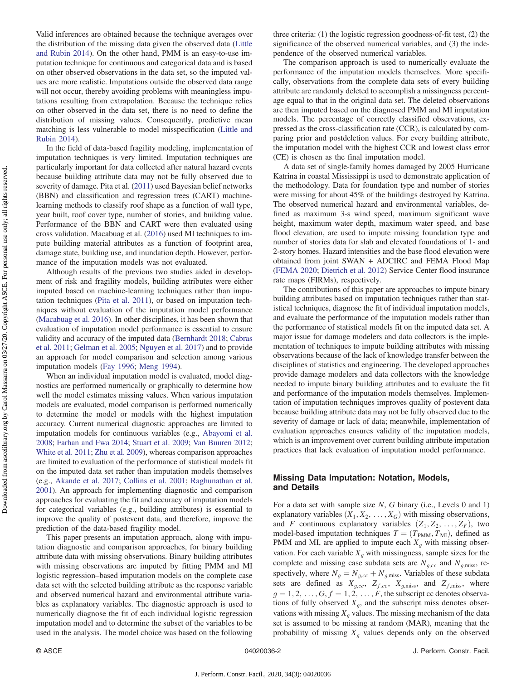Valid inferences are obtained because the technique averages over the distribution of the missing data given the observed data ([Little](#page-6-0) [and Rubin 2014](#page-6-0)). On the other hand, PMM is an easy-to-use imputation technique for continuous and categorical data and is based on other observed observations in the data set, so the imputed values are more realistic. Imputations outside the observed data range will not occur, thereby avoiding problems with meaningless imputations resulting from extrapolation. Because the technique relies on other observed in the data set, there is no need to define the distribution of missing values. Consequently, predictive mean matching is less vulnerable to model misspecification ([Little and](#page-6-0) [Rubin 2014\)](#page-6-0).

In the field of data-based fragility modeling, implementation of imputation techniques is very limited. Imputation techniques are particularly important for data collected after natural hazard events because building attribute data may not be fully observed due to severity of damage. Pita et al. [\(2011](#page-7-0)) used Bayesian belief networks (BBN) and classification and regression trees (CART) machinelearning methods to classify roof shape as a function of wall type, year built, roof cover type, number of stories, and building value. Performance of the BBN and CART were then evaluated using cross validation. Macabuag et al. ([2016\)](#page-7-0) used MI techniques to impute building material attributes as a function of footprint area, damage state, building use, and inundation depth. However, performance of the imputation models was not evaluated.

Although results of the previous two studies aided in development of risk and fragility models, building attributes were either imputed based on machine-learning techniques rather than imputation techniques ([Pita et al. 2011](#page-7-0)), or based on imputation techniques without evaluation of the imputation model performance [\(Macabuag et al. 2016](#page-7-0)). In other disciplines, it has been shown that evaluation of imputation model performance is essential to ensure validity and accuracy of the imputed data ([Bernhardt 2018;](#page-6-0) [Cabras](#page-6-0) [et al. 2011](#page-6-0); [Gelman et al. 2005;](#page-6-0) [Nguyen et al. 2017](#page-7-0)) and to provide an approach for model comparison and selection among various imputation models ([Fay 1996](#page-6-0); [Meng 1994\)](#page-7-0).

When an individual imputation model is evaluated, model diagnostics are performed numerically or graphically to determine how well the model estimates missing values. When various imputation models are evaluated, model comparison is performed numerically to determine the model or models with the highest imputation accuracy. Current numerical diagnostic approaches are limited to imputation models for continuous variables (e.g., [Abayomi et al.](#page-6-0) [2008;](#page-6-0) [Farhan and Fwa 2014;](#page-6-0) [Stuart et al. 2009](#page-7-0); [Van Buuren 2012](#page-7-0); [White et al. 2011;](#page-7-0) [Zhu et al. 2009](#page-7-0)), whereas comparison approaches are limited to evaluation of the performance of statistical models fit on the imputed data set rather than imputation models themselves (e.g., [Akande et al. 2017](#page-6-0); [Collins et al. 2001](#page-6-0); [Raghunathan et al.](#page-7-0) [2001\)](#page-7-0). An approach for implementing diagnostic and comparison approaches for evaluating the fit and accuracy of imputation models for categorical variables (e.g., building attributes) is essential to improve the quality of postevent data, and therefore, improve the prediction of the data-based fragility model.

This paper presents an imputation approach, along with imputation diagnostic and comparison approaches, for binary building attribute data with missing observations. Binary building attributes with missing observations are imputed by fitting PMM and MI logistic regression–based imputation models on the complete case data set with the selected building attribute as the response variable and observed numerical hazard and environmental attribute variables as explanatory variables. The diagnostic approach is used to numerically diagnose the fit of each individual logistic regression imputation model and to determine the subset of the variables to be used in the analysis. The model choice was based on the following three criteria: (1) the logistic regression goodness-of-fit test, (2) the significance of the observed numerical variables, and (3) the independence of the observed numerical variables.

The comparison approach is used to numerically evaluate the performance of the imputation models themselves. More specifically, observations from the complete data sets of every building attribute are randomly deleted to accomplish a missingness percentage equal to that in the original data set. The deleted observations are then imputed based on the diagnosed PMM and MI imputation models. The percentage of correctly classified observations, expressed as the cross-classification rate (CCR), is calculated by comparing prior and postdeletion values. For every building attribute, the imputation model with the highest CCR and lowest class error (CE) is chosen as the final imputation model.

A data set of single-family homes damaged by 2005 Hurricane Katrina in coastal Mississippi is used to demonstrate application of the methodology. Data for foundation type and number of stories were missing for about 45% of the buildings destroyed by Katrina. The observed numerical hazard and environmental variables, defined as maximum 3-s wind speed, maximum significant wave height, maximum water depth, maximum water speed, and base flood elevation, are used to impute missing foundation type and number of stories data for slab and elevated foundations of 1- and 2-story homes. Hazard intensities and the base flood elevation were obtained from joint SWAN + ADCIRC and FEMA Flood Map [\(FEMA 2020;](#page-6-0) [Dietrich et al. 2012](#page-6-0)) Service Center flood insurance rate maps (FIRMs), respectively.

The contributions of this paper are approaches to impute binary building attributes based on imputation techniques rather than statistical techniques, diagnose the fit of individual imputation models, and evaluate the performance of the imputation models rather than the performance of statistical models fit on the imputed data set. A major issue for damage modelers and data collectors is the implementation of techniques to impute building attributes with missing observations because of the lack of knowledge transfer between the disciplines of statistics and engineering. The developed approaches provide damage modelers and data collectors with the knowledge needed to impute binary building attributes and to evaluate the fit and performance of the imputation models themselves. Implementation of imputation techniques improves quality of postevent data because building attribute data may not be fully observed due to the severity of damage or lack of data; meanwhile, implementation of evaluation approaches ensures validity of the imputation models, which is an improvement over current building attribute imputation practices that lack evaluation of imputation model performance.

## Missing Data Imputation: Notation, Models, and Details

For a data set with sample size  $N$ ,  $G$  binary (i.e., Levels 0 and 1) explanatory variables  $(X_1, X_2, \ldots, X_G)$  with missing observations, and F continuous explanatory variables  $(Z_1, Z_2, \ldots, Z_F)$ , two model-based imputation techniques  $T = (T_{\text{PMM}}, T_{\text{MI}})$ , defined as PMM and MI, are applied to impute each  $X_q$  with missing observation. For each variable  $X_g$  with missingness, sample sizes for the complete and missing case subdata sets are  $N_{g,cc}$  and  $N_{g,\text{miss}}$ , respectively, where  $N_g = N_{g,cc} + N_{g,\text{miss}}$ . Variables of these subdata sets are defined as  $X_{g,cc}$ ,  $Z_{f,cc}$ ,  $X_{g,\text{miss}}$ , and  $Z_{f,\text{miss}}$ , where  $g = 1, 2, ..., G, f = 1, 2, ..., F$ , the subscript cc denotes observa-<br>tions of fully observed X, and the subscript miss denotes obsertions of fully observed  $X_g$ , and the subscript miss denotes observations with missing  $X$ , values. The missing mechanism of the data vations with missing  $X_q$  values. The missing mechanism of the data set is assumed to be missing at random (MAR), meaning that the probability of missing  $X_q$  values depends only on the observed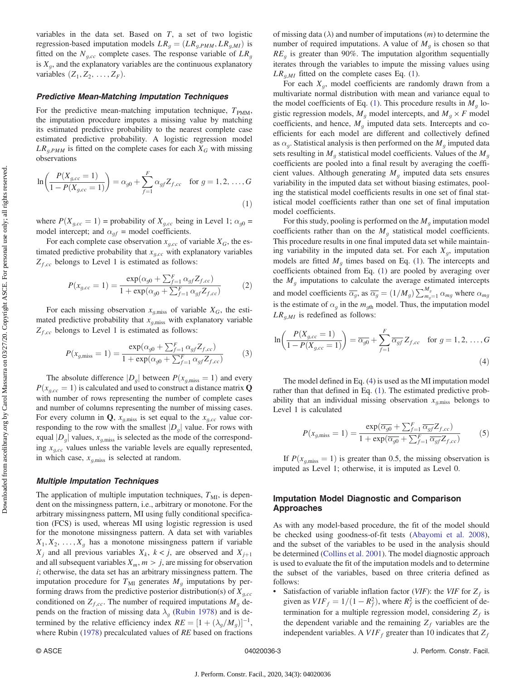<span id="page-2-0"></span>variables in the data set. Based on  $T$ , a set of two logistic regression-based imputation models  $LR_q = (LR_{q,PMM}, LR_{q,MI})$  is fitted on the  $N_{q,cc}$  complete cases. The response variable of  $LR_q$ is  $X_g$ , and the explanatory variables are the continuous explanatory variables  $(Z_1, Z_2, \ldots, Z_F)$ .

#### Predictive Mean-Matching Imputation Techniques

For the predictive mean-matching imputation technique,  $T_{PMM}$ , the imputation procedure imputes a missing value by matching its estimated predictive probability to the nearest complete case estimated predictive probability. A logistic regression model  $LR_{g,PMM}$  is fitted on the complete cases for each  $X_G$  with missing observations

$$
\ln\left(\frac{P(X_{g,cc}=1)}{1-P(X_{g,cc}=1)}\right) = \alpha_{g0} + \sum_{f=1}^{F} \alpha_{gf} Z_{f,cc} \text{ for } g = 1, 2, ..., G
$$
\n(1)

where  $P(X_{g,cc} = 1)$  = probability of  $X_{g,cc}$  being in Level 1;  $\alpha_{g0}$  = model intercept; and  $\alpha_{gf}$  = model coefficients.

For each complete case observation  $x_{g,cc}$  of variable  $X_G$ , the estimated predictive probability that  $x_{g,cc}$  with explanatory variables  $Z_{f,cc}$  belongs to Level 1 is estimated as follows:

$$
P(x_{g,cc} = 1) = \frac{\exp(\alpha_{g0} + \sum_{f=1}^{F} \alpha_{gf} Z_{f,cc})}{1 + \exp(\alpha_{g0} + \sum_{f=1}^{F} \alpha_{gf} Z_{f,cc})}
$$
(2)

For each missing observation  $x_{g,\text{miss}}$  of variable  $X_G$ , the estimated predictive probability that  $x_{g,\text{miss}}$  with explanatory variable  $Z_{f,cc}$  belongs to Level 1 is estimated as follows:

$$
P(x_{g,\text{miss}} = 1) = \frac{\exp(\alpha_{g0} + \sum_{f=1}^{F} \alpha_{gf} Z_{f,cc})}{1 + \exp(\alpha_{g0} + \sum_{f=1}^{F} \alpha_{gf} Z_{f,cc})}
$$
(3)

The absolute difference  $|D_g|$  between  $P(x_{g,\text{miss}} = 1)$  and every  $P(x_{acc} = 1)$  is calculated and used to construct a distance matrix Q with number of rows representing the number of complete cases and number of columns representing the number of missing cases. For every column in Q,  $x_{g,\text{miss}}$  is set equal to the  $x_{g,cc}$  value corresponding to the row with the smallest  $|D_q|$  value. For rows with equal  $|D_g|$  values,  $x_{g,\text{miss}}$  is selected as the mode of the corresponding  $x_{q,cc}$  values unless the variable levels are equally represented, in which case,  $x_{g,\text{miss}}$  is selected at random.

#### Multiple Imputation Techniques

The application of multiple imputation techniques,  $T_{\text{MI}}$ , is dependent on the missingness pattern, i.e., arbitrary or monotone. For the arbitrary missingness pattern, MI using fully conditional specification (FCS) is used, whereas MI using logistic regression is used for the monotone missingness pattern. A data set with variables  $X_1, X_2, \ldots, X_g$  has a monotone missingness pattern if variable  $X_i$  and all previous variables  $X_k$ ,  $k < j$ , are observed and  $X_{j+1}$ and all subsequent variables  $X_m$ ,  $m > j$ , are missing for observation  $i$ ; otherwise, the data set has an arbitrary missingness pattern. The imputation procedure for  $T_{\text{MI}}$  generates  $M_g$  imputations by performing draws from the predictive posterior distribution(s) of  $X_{g,cc}$ conditioned on  $Z_{f,cc}$ . The number of required imputations  $M_g$  depends on the fraction of missing data  $\lambda_g$  [\(Rubin 1978\)](#page-7-0) and is determined by the relative efficiency index  $RE = [1 + (\lambda_g/M_g)]^{-1}$ ,<br>where Pubin (1078) preceleulated values of *PF* based on fractions where Rubin ([1978\)](#page-7-0) precalculated values of RE based on fractions of missing data  $(\lambda)$  and number of imputations  $(m)$  to determine the number of required imputations. A value of  $M_q$  is chosen so that  $RE<sub>a</sub>$  is greater than 90%. The imputation algorithm sequentially iterates through the variables to impute the missing values using  $LR_{g,MI}$  fitted on the complete cases Eq. (1).

For each  $X_g$ , model coefficients are randomly drawn from a multivariate normal distribution with mean and variance equal to the model coefficients of Eq. (1). This procedure results in  $M<sub>q</sub>$  logistic regression models,  $M_g$  model intercepts, and  $M_g \times F$  model coefficients, and hence,  $M<sub>q</sub>$  imputed data sets. Intercepts and coefficients for each model are different and collectively defined as  $\alpha_g$ . Statistical analysis is then performed on the  $M_g$  imputed data sets resulting in  $M_q$  statistical model coefficients. Values of the  $M_q$ coefficients are pooled into a final result by averaging the coefficient values. Although generating  $M<sub>q</sub>$  imputed data sets ensures variability in the imputed data set without biasing estimates, pooling the statistical model coefficients results in one set of final statistical model coefficients rather than one set of final imputation model coefficients.

For this study, pooling is performed on the  $M<sub>g</sub>$  imputation model coefficients rather than on the  $M<sub>g</sub>$  statistical model coefficients. This procedure results in one final imputed data set while maintaining variability in the imputed data set. For each  $X_q$ , imputation models are fitted  $M<sub>q</sub>$  times based on Eq. (1). The intercepts and coefficients obtained from Eq. (1) are pooled by averaging over the  $M<sub>g</sub>$  imputations to calculate the average estimated intercepts and model coefficients  $\overline{\alpha_g}$ , as  $\overline{\alpha_g} = (1/M_g) \sum_{m_g=1}^{m_g} \alpha_{mg}$  where  $\alpha_{mg}$ is the estimate of  $\alpha_q$  in the  $m_{gh}$  model. Thus, the imputation model  $LR_{g,MI}$  is redefined as follows:

$$
\ln\left(\frac{P(X_{g,cc}=1)}{1-P(X_{g,cc}=1)}\right) = \overline{\alpha_{g0}} + \sum_{f=1}^{F} \overline{\alpha_{gf}} Z_{f,cc} \text{ for } g = 1, 2, ..., G
$$
\n(4)

The model defined in Eq. (4) is used as the MI imputation model rather than that defined in Eq. (1). The estimated predictive probability that an individual missing observation  $x_{g,\text{miss}}$  belongs to Level 1 is calculated

$$
P(x_{g,\text{miss}} = 1) = \frac{\exp(\overline{\alpha_{g0}} + \sum_{f=1}^{F} \overline{\alpha_{gf}} Z_{f,cc})}{1 + \exp(\overline{\alpha_{g0}} + \sum_{f=1}^{F} \overline{\alpha_{gf}} Z_{f,cc})}
$$
(5)

If  $P(x_{q,\text{miss}} = 1)$  is greater than 0.5, the missing observation is imputed as Level 1; otherwise, it is imputed as Level 0.

## Imputation Model Diagnostic and Comparison Approaches

As with any model-based procedure, the fit of the model should be checked using goodness-of-fit tests ([Abayomi et al. 2008\)](#page-6-0), and the subset of the variables to be used in the analysis should be determined [\(Collins et al. 2001\)](#page-6-0). The model diagnostic approach is used to evaluate the fit of the imputation models and to determine the subset of the variables, based on three criteria defined as follows:

Satisfaction of variable inflation factor (VIF): the VIF for  $Z_f$  is given as  $VIF_f = 1/(1 - R_f^2)$ , where  $R_f^2$  is the coefficient of determination for a multiple regression model, considering  $Z$  is termination for a multiple regression model, considering  $Z_f$  is the dependent variable and the remaining  $Z_f$  variables are the independent variables. A  $VIF_f$  greater than 10 indicates that  $Z_f$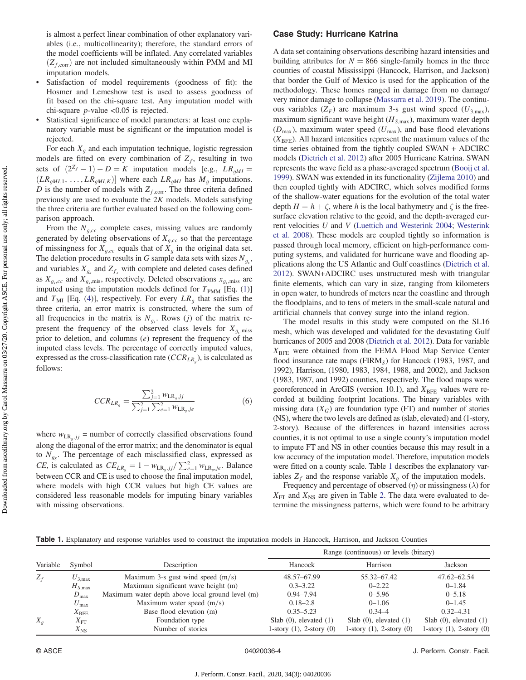is almost a perfect linear combination of other explanatory variables (i.e., multicollinearity); therefore, the standard errors of the model coefficients will be inflated. Any correlated variables  $(Z_{f,corr})$  are not included simultaneously within PMM and MI imputation models.

- Satisfaction of model requirements (goodness of fit): the Hosmer and Lemeshow test is used to assess goodness of fit based on the chi-square test. Any imputation model with chi-square *p*-value  $\langle 0.05 \rangle$  is rejected.
- Statistical significance of model parameters: at least one explanatory variable must be significant or the imputation model is rejected.

For each  $X_q$  and each imputation technique, logistic regression models are fitted on every combination of  $Z_f$ , resulting in two sets of  $(2^{Z_f} - 1) - D = K$  imputation models [e.g.,  $LR_{gMI} = (LR_{gMI,1}, \ldots, LR_{gMI,K})$ ] where each  $LR_{gMI}$  has  $M_g$  imputations.  $(LR_{gMI,1}, \ldots, LR_{gMI,K})$ ] where each  $LR_{gMI}$  has  $M_g$  imputations.<br>D is the number of models with Z The three criteria defined D is the number of models with  $Z_{f,\text{corr}}$ . The three criteria defined<br>previously are used to evaluate the 2K models. Models satisfying previously are used to evaluate the  $2K$  models. Models satisfying the three criteria are further evaluated based on the following comparison approach.

From the  $N_{q,cc}$  complete cases, missing values are randomly generated by deleting observations of  $X_{q,cc}$  so that the percentage of missingness for  $X_{g,cc}$  equals that of  $X_g$  in the original data set. The deletion procedure results in G sample data sets with sizes  $N_{g_s}$ , and variables  $X_{g_s}$  and  $Z_{g_s}$  with complete and deleted cases defined and variables  $X_{g_s}$  and  $Z_{f_s}$  with complete and deleted cases defined as  $X_{g_s,cc}$  and  $X_{g_s,mis}$ , respectively. Deleted observations  $x_{g_s,miss}$  are imputed using the imputation models defined for  $T_{\text{PMM}}$  [Eq. [\(1\)](#page-2-0)] and  $T_{\text{MI}}$  [Eq. [\(4\)](#page-2-0)], respectively. For every  $LR_g$  that satisfies the three criteria, an error matrix is constructed, where the sum of all frequencies in the matrix is  $N_{g_s}$ . Rows (j) of the matrix represent the frequency of the observed class levels for  $X_{g_s,\text{miss}}$ prior to deletion, and columns  $(e)$  represent the frequency of the imputed class levels. The percentage of correctly imputed values, expressed as the cross-classification rate  $(CCR_{LR_a})$ , is calculated as follows:

$$
CCR_{LR_g} = \frac{\sum_{j=1}^{2} w_{LR_g,jj}}{\sum_{j=1}^{2} \sum_{e=1}^{2} w_{LR_g,je}}
$$
(6)

where  $w_{LR_g,jj}$  = number of correctly classified observations found along the diagonal of the error matrix; and the denominator is equal to  $N_{gc}$ . The percentage of each misclassified class, expressed as *CE*, is calculated as  $CE_{LR_g} = 1 - w_{LR_g,jj}/\sum_{e=1}^{2} w_{LR_g,je}$ . Balance between CCR and CE is used to choose the final imputation model, where models with high CCR values but high CE values are considered less reasonable models for imputing binary variables with missing observations.

## Case Study: Hurricane Katrina

A data set containing observations describing hazard intensities and building attributes for  $N = 866$  single-family homes in the three counties of coastal Mississippi (Hancock, Harrison, and Jackson) that border the Gulf of Mexico is used for the application of the methodology. These homes ranged in damage from no damage/ very minor damage to collapse [\(Massarra et al. 2019](#page-7-0)). The continuous variables  $(Z_F)$  are maximum 3-s gust wind speed  $(U_{3,\text{max}})$ , maximum significant wave height  $(H_{S,\text{max}})$ , maximum water depth  $(D_{\text{max}})$ , maximum water speed  $(U_{\text{max}})$ , and base flood elevations  $(X<sub>BFE</sub>)$ . All hazard intensities represent the maximum values of the time series obtained from the tightly coupled SWAN + ADCIRC models ([Dietrich et al. 2012\)](#page-6-0) after 2005 Hurricane Katrina. SWAN represents the wave field as a phase-averaged spectrum ([Booij et al.](#page-6-0) [1999](#page-6-0)). SWAN was extended in its functionality ([Zijlema 2010](#page-7-0)) and then coupled tightly with ADCIRC, which solves modified forms of the shallow-water equations for the evolution of the total water depth  $H = h + \zeta$ , where h is the local bathymetry and  $\zeta$  is the freesurface elevation relative to the geoid, and the depth-averaged current velocities U and V ([Luettich and Westerink 2004](#page-6-0); [Westerink](#page-7-0) [et al. 2008](#page-7-0)). These models are coupled tightly so information is passed through local memory, efficient on high-performance computing systems, and validated for hurricane wave and flooding applications along the US Atlantic and Gulf coastlines ([Dietrich et al.](#page-6-0) [2012](#page-6-0)). SWAN+ADCIRC uses unstructured mesh with triangular finite elements, which can vary in size, ranging from kilometers in open water, to hundreds of meters near the coastline and through the floodplains, and to tens of meters in the small-scale natural and artificial channels that convey surge into the inland region.

The model results in this study were computed on the SL16 mesh, which was developed and validated for the devastating Gulf hurricanes of 2005 and 2008 [\(Dietrich et al. 2012](#page-6-0)). Data for variable  $X_{\text{BFF}}$  were obtained from the FEMA Flood Map Service Center flood insurance rate maps ( $FIRM_S$ ) for Hancock (1983, 1987, and 1992), Harrison, (1980, 1983, 1984, 1988, and 2002), and Jackson (1983, 1987, and 1992) counties, respectively. The flood maps were georeferenced in ArcGIS (version 10.1), and  $X_{\text{BFE}}$  values were recorded at building footprint locations. The binary variables with missing data  $(X_G)$  are foundation type (FT) and number of stories (NS), where the two levels are defined as (slab, elevated) and (1-story, 2-story). Because of the differences in hazard intensities across counties, it is not optimal to use a single county's imputation model to impute FT and NS in other counties because this may result in a low accuracy of the imputation model. Therefore, imputation models were fitted on a county scale. Table 1 describes the explanatory variables  $Z_f$  and the response variable  $X_g$  of the imputation models.

Frequency and percentage of observed  $(\eta)$  or missingness  $(\lambda)$  for  $X_{\text{FT}}$  and  $X_{\text{NS}}$  are given in Table [2.](#page-4-0) The data were evaluated to determine the missingness patterns, which were found to be arbitrary

Table 1. Explanatory and response variables used to construct the imputation models in Hancock, Harrison, and Jackson Counties

|          |                    |                                                  | Range (continuous) or levels (binary) |                               |                               |  |  |  |
|----------|--------------------|--------------------------------------------------|---------------------------------------|-------------------------------|-------------------------------|--|--|--|
| Variable | Symbol             | Description                                      | Hancock                               | Harrison                      | Jackson                       |  |  |  |
| $Z_f$    | $U_{3,\text{max}}$ | Maximum 3-s gust wind speed $(m/s)$              | 48.57-67.99                           | 55.32–67.42                   | 47.62-62.54                   |  |  |  |
|          | $H_{S,\text{max}}$ | Maximum significant wave height (m)              | $0.3 - 3.22$                          | $0 - 2.22$                    | $0 - 1.84$                    |  |  |  |
|          | $D_{\text{max}}$   | Maximum water depth above local ground level (m) | $0.94 - 7.94$                         | $0 - 5.96$                    | $0 - 5.18$                    |  |  |  |
|          | $U_{\rm max}$      | Maximum water speed $(m/s)$                      | $0.18 - 2.8$                          | $0 - 1.06$                    | $0 - 1.45$                    |  |  |  |
|          | $X_{\rm BFE}$      | Base flood elevation (m)                         | $0.35 - 5.23$                         | $0.34 - 4$                    | $0.32 - 4.31$                 |  |  |  |
| $X_q$    | $X_{\rm{FT}}$      | Foundation type                                  | Slab $(0)$ , elevated $(1)$           | Slab $(0)$ , elevated $(1)$   | Slab $(0)$ , elevated $(1)$   |  |  |  |
|          | $X_{\rm NS}$       | Number of stories                                | 1-story $(1)$ , 2-story $(0)$         | 1-story $(1)$ , 2-story $(0)$ | 1-story $(1)$ , 2-story $(0)$ |  |  |  |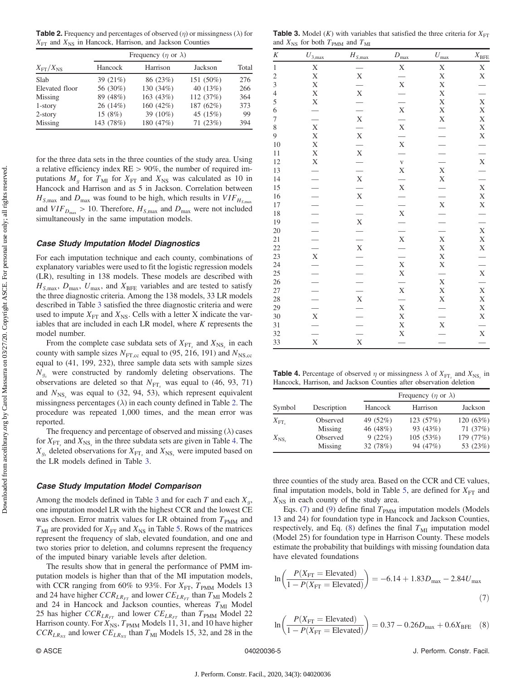<span id="page-4-0"></span>**Table 2.** Frequency and percentages of observed  $(\eta)$  or missingness  $(\lambda)$  for  $X_{\text{FT}}$  and  $X_{\text{NS}}$  in Hancock, Harrison, and Jackson Counties

|                         | Frequency ( $\eta$ or $\lambda$ ) |           |           |       |  |  |  |  |
|-------------------------|-----------------------------------|-----------|-----------|-------|--|--|--|--|
| $X_{\rm FT}/X_{\rm NS}$ | Hancock                           | Harrison  | Jackson   | Total |  |  |  |  |
| Slab                    | 39 $(21%)$                        | 86 (23%)  | 151 (50%) | 276   |  |  |  |  |
| Elevated floor          | 56 (30%)                          | 130 (34%) | 40 (13%)  | 266   |  |  |  |  |
| Missing                 | 89 (48%)                          | 163 (43%) | 112 (37%) | 364   |  |  |  |  |
| $1$ -story              | 26 (14%)                          | 160 (42%) | 187 (62%) | 373   |  |  |  |  |
| $2$ -story              | 15 $(8%)$                         | 39 (10%)  | 45 (15%)  | 99    |  |  |  |  |
| Missing                 | 143 (78%)                         | 180 (47%) | 71(23%)   | 394   |  |  |  |  |

for the three data sets in the three counties of the study area. Using a relative efficiency index  $RE > 90\%$ , the number of required imputations  $M<sub>g</sub>$  for  $T<sub>MI</sub>$  for  $X<sub>FT</sub>$  and  $X<sub>NS</sub>$  was calculated as 10 in Hancock and Harrison and as 5 in Jackson. Correlation between  $H_{S, \text{max}}$  and  $D_{\text{max}}$  was found to be high, which results in  $VIF_{H_{S, \text{max}}}$ and  $VIF_{D_{\text{max}}} > 10$ . Therefore,  $H_{S,\text{max}}$  and  $D_{\text{max}}$  were not included simultaneously in the same imputation models.

#### Case Study Imputation Model Diagnostics

For each imputation technique and each county, combinations of explanatory variables were used to fit the logistic regression models (LR), resulting in 138 models. These models are described with  $H_{S,\text{max}}$ ,  $D_{\text{max}}$ ,  $U_{\text{max}}$ , and  $X_{\text{BFE}}$  variables and are tested to satisfy the three diagnostic criteria. Among the 138 models, 33 LR models described in Table 3 satisfied the three diagnostic criteria and were used to impute  $X_{\text{FT}}$  and  $X_{\text{NS}}$ . Cells with a letter X indicate the variables that are included in each LR model, where  $K$  represents the model number.

From the complete case subdata sets of  $X_{\text{FT}_s}$  and  $X_{\text{NS}_s}$  in each county with sample sizes  $N_{\text{FT,cc}}$  equal to (95, 216, 191) and  $N_{\text{NS,cc}}$ equal to (41, 199, 232), three sample data sets with sample sizes  $N_{g_s}$  were constructed by randomly deleting observations. The observations are deleted so that  $N_{\text{FT}_s}$  was equal to (46, 93, 71) and  $N_{\text{NS}}$ , was equal to (32, 94, 53), which represent equivalent missingness percentages  $(\lambda)$  in each county defined in Table 2. The procedure was repeated 1,000 times, and the mean error was reported.

The frequency and percentage of observed and missing  $(\lambda)$  cases for  $X_{\text{FT}_s}$  and  $X_{\text{NS}_s}$  in the three subdata sets are given in Table 4. The  $X_{g_s}$  deleted observations for  $X_{\text{FT}_s}$  and  $X_{\text{NS}_s}$  were imputed based on the LR models defined in Table 3.

### Case Study Imputation Model Comparison

Among the models defined in Table 3 and for each  $T$  and each  $X_q$ , one imputation model LR with the highest CCR and the lowest CE was chosen. Error matrix values for LR obtained from  $T_{PMM}$  and  $T_{\text{MI}}$  are provided for  $X_{\text{FT}}$  and  $X_{\text{NS}}$  in Table [5.](#page-5-0) Rows of the matrices represent the frequency of slab, elevated foundation, and one and two stories prior to deletion, and columns represent the frequency of the imputed binary variable levels after deletion.

The results show that in general the performance of PMM imputation models is higher than that of the MI imputation models, with CCR ranging from 60% to 93%. For  $X_{\text{FT}}$ ,  $T_{\text{PMM}}$  Models 13 and 24 have higher  $CCR_{LR_{FT}}$  and lower  $CE_{LR_{FT}}$  than  $T_{\text{MI}}$  Models 2 and 24 in Hancock and Jackson counties, whereas  $T_{\text{MI}}$  Model 25 has higher  $CCR_{LR_{FT}}$  and lower  $CE_{LR_{FT}}$  than  $T_{\text{PMM}}$  Model 22 Harrison county. For  $X_{\text{NS}}$ ,  $T_{\text{PMM}}$  Models 11, 31, and 10 have higher  $CCR_{LR_{NS}}$  and lower  $CE_{LR_{NS}}$  than  $T_{\text{MI}}$  Models 15, 32, and 28 in the

**Table 3.** Model (K) with variables that satisfied the three criteria for  $X_{\text{FT}}$ and  $X_{\text{NS}}$  for both  $T_{\text{PMM}}$  and  $T_{\text{MI}}$ 

| $\boldsymbol{K}$ | $U_{3,\text{max}}$ | $H_{S,\max}$             | $D_{\text{max}}$                           | $U_{\rm max}$                                               | $X_{\rm BFE}$                             |
|------------------|--------------------|--------------------------|--------------------------------------------|-------------------------------------------------------------|-------------------------------------------|
| $\mathbf{1}$     | X                  |                          | $\mathbf X$                                | X                                                           | X                                         |
| $\overline{c}$   | X                  | $\mathbf X$              |                                            | X                                                           | X                                         |
| $\overline{3}$   | X                  |                          | $\frac{1}{\mathbf{X}}$                     | X                                                           |                                           |
| $\overline{4}$   | X                  | $\frac{1}{\text{X}}$     |                                            | X                                                           |                                           |
| 5                | X                  |                          | $\frac{-1}{x}$                             | X                                                           | X                                         |
| 6                |                    |                          |                                            | X                                                           |                                           |
| 7                | $\frac{1}{x}$      | $\frac{-1}{x}$           |                                            | X                                                           | X<br>X                                    |
| 8                |                    |                          |                                            |                                                             |                                           |
| 9                | X                  |                          |                                            |                                                             |                                           |
| 10               | X                  | $\frac{-x}{x}$           | $\frac{1}{\mathbf{X}}$                     | $\frac{-1}{-1}$ $\frac{-1}{-1}$ $\frac{1}{x}$ $\frac{1}{x}$ | $\frac{x}{x}$ $\frac{y}{x}$ $\frac{y}{x}$ |
| 11               | X                  |                          |                                            |                                                             |                                           |
| 12               |                    | $\overline{\phantom{a}}$ | $\frac{v}{X}$                              |                                                             |                                           |
| 13               |                    |                          |                                            |                                                             |                                           |
| 14               |                    | $\bar{X}$                |                                            |                                                             |                                           |
| 15               |                    | $\frac{1}{x}$            | $\frac{1}{\mathbf{X}}$                     |                                                             |                                           |
| 16               |                    |                          |                                            |                                                             |                                           |
| 17               |                    | $\frac{1}{x}$            | $\frac{-x}{x} - \frac{x}{x} - \frac{x}{x}$ | $\frac{-1}{x}$<br>$\frac{-1}{x}$<br>$\frac{-1}{x}$          |                                           |
| 18               |                    |                          |                                            |                                                             |                                           |
| 19               |                    |                          |                                            |                                                             |                                           |
| 20               |                    |                          |                                            |                                                             |                                           |
| 21               |                    |                          |                                            |                                                             |                                           |
| 22               |                    |                          |                                            |                                                             |                                           |
| 23               |                    | $\frac{-1}{x}$           |                                            | X                                                           |                                           |
| 24               |                    |                          |                                            | X                                                           |                                           |
| 25               |                    | $\frac{1}{1}$            |                                            | $\frac{1}{\mathbf{X}}$                                      |                                           |
| 26               |                    |                          |                                            |                                                             |                                           |
| $27\,$           |                    |                          |                                            | X                                                           | $\mathbf X$                               |
| 28               |                    | $\frac{1}{\mathbf{X}}$   |                                            | X                                                           | X                                         |
| 29               |                    |                          | X                                          |                                                             | X                                         |
| 30               |                    |                          | X                                          |                                                             |                                           |
| 31               |                    | $\overline{\phantom{0}}$ | X                                          |                                                             | $\frac{X}{\ }$                            |
| 32               | $\frac{1}{x}$      | $\overline{\phantom{0}}$ | X                                          | $\frac{-1}{x}$                                              | $\mathbf X$                               |
| 33               |                    | $\overline{X}$           |                                            |                                                             |                                           |

**Table 4.** Percentage of observed  $\eta$  or missingness  $\lambda$  of  $X_{\text{FT}}$  and  $X_{\text{NS}}$  in Hancock, Harrison, and Jackson Counties after observation deletion

|                   |             |          | Frequency ( $\eta$ or $\lambda$ ) |           |  |  |  |
|-------------------|-------------|----------|-----------------------------------|-----------|--|--|--|
| Symbol            | Description | Hancock  | Harrison                          | Jackson   |  |  |  |
| $X_{\mathrm{FT}}$ | Observed    | 49 (52%) | 123 (57%)                         | 120(63%)  |  |  |  |
|                   | Missing     | 46 (48%) | 93 (43%)                          | 71(37%)   |  |  |  |
| $X_{\rm NS}$      | Observed    | 9(22%)   | 105(53%)                          | 179 (77%) |  |  |  |
|                   | Missing     | 32 (78%) | 94 (47%)                          | 53 (23%)  |  |  |  |

three counties of the study area. Based on the CCR and CE values, final imputation models, bold in Table [5,](#page-5-0) are defined for  $X_{\text{FT}}$  and  $X_{\text{NS}}$  in each county of the study area.

Eqs. (7) and ([9\)](#page-5-0) define final  $T_{\text{PMM}}$  imputation models (Models 13 and 24) for foundation type in Hancock and Jackson Counties, respectively, and Eq. (8) defines the final  $T_{\text{MI}}$  imputation model (Model 25) for foundation type in Harrison County. These models estimate the probability that buildings with missing foundation data have elevated foundations

$$
\ln\left(\frac{P(X_{\text{FT}} = \text{Elevated})}{1 - P(X_{\text{FT}} = \text{Elevated})}\right) = -6.14 + 1.83D_{\text{max}} - 2.84U_{\text{max}}\tag{7}
$$

$$
\ln\left(\frac{P(X_{\text{FT}} = \text{Elevated})}{1 - P(X_{\text{FT}} = \text{Elevated})}\right) = 0.37 - 0.26D_{\text{max}} + 0.6X_{\text{BFE}} \quad (8)
$$

© ASCE 04020036-5 J. Perform. Constr. Facil.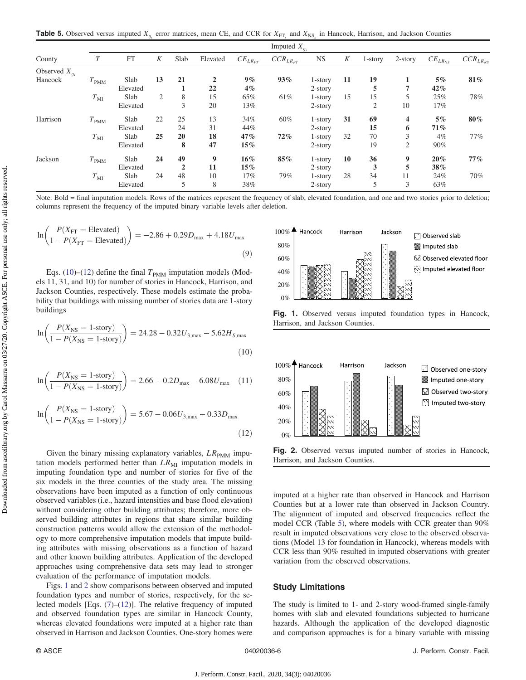<span id="page-5-0"></span>**Table 5.** Observed versus imputed  $X_{q_k}$  error matrices, mean CE, and CCR for  $X_{\text{FT}_k}$  and  $X_{\text{NS}_k}$  in Hancock, Harrison, and Jackson Counties

|                    | Imputed $X_{g_s}$ |          |    |                |                |                |                 |            |    |         |            |                |                 |
|--------------------|-------------------|----------|----|----------------|----------------|----------------|-----------------|------------|----|---------|------------|----------------|-----------------|
| County             |                   | FT       | K  | Slab           | Elevated       | $CE_{LR_{FT}}$ | $CCR_{LR_{FT}}$ | <b>NS</b>  | K  | 1-story | $2$ -story | $CE_{LR_{NS}}$ | $CCR_{LR_{NS}}$ |
| Observed $X_{g_s}$ |                   |          |    |                |                |                |                 |            |    |         |            |                |                 |
| Hancock            | $T_{\rm PMM}$     | Slab     | 13 | 21             | $\overline{2}$ | $9\%$          | 93%             | $1$ -story | 11 | 19      |            | $5\%$          | 81%             |
|                    |                   | Elevated |    |                | 22             | $4\%$          |                 | $2$ -story |    | 5       | 7          | 42%            |                 |
|                    | $T_{\rm MI}$      | Slab     | 2  | 8              | 15             | 65%            | 61%             | 1-story    | 15 | 15      | 5          | 25%            | 78%             |
|                    |                   | Elevated |    | 3              | 20             | 13%            |                 | $2$ -story |    | 2       | 10         | $17\%$         |                 |
| Harrison           | $T_{\rm PMM}$     | Slab     | 22 | 25             | 13             | 34%            | 60%             | $1$ -story | 31 | 69      | 4          | $5\%$          | 80%             |
|                    |                   | Elevated |    | 24             | 31             | 44%            |                 | $2$ -story |    | 15      | 6          | 71%            |                 |
|                    | $T_{\rm MI}$      | Slab     | 25 | 20             | 18             | 47%            | 72%             | $1$ -story | 32 | 70      | 3          | $4\%$          | 77%             |
|                    |                   | Elevated |    | 8              | 47             | 15%            |                 | $2$ -story |    | 19      | 2          | 90%            |                 |
| Jackson            | $T_{\rm PMM}$     | Slab     | 24 | 49             | 9              | $16\%$         | 85%             | 1-story    | 10 | 36      | 9          | 20%            | 77%             |
|                    |                   | Elevated |    | $\overline{2}$ | 11             | 15%            |                 | $2$ -story |    | 3       | 5          | 38%            |                 |
|                    | $T_{\rm MI}$      | Slab     | 24 | 48             | 10             | 17%            | 79%             | $1$ -story | 28 | 34      | 11         | 24%            | 70%             |
|                    |                   | Elevated |    | 5              | 8              | 38%            |                 | $2$ -story |    | 5       | 3          | 63%            |                 |

Note: Bold = final imputation models. Rows of the matrices represent the frequency of slab, elevated foundation, and one and two stories prior to deletion; columns represent the frequency of the imputed binary variable levels after deletion.

$$
\ln\left(\frac{P(X_{\text{FT}} = \text{Elevated})}{1 - P(X_{\text{FT}} = \text{Elevated})}\right) = -2.86 + 0.29D_{\text{max}} + 4.18U_{\text{max}}\tag{9}
$$

Eqs. (10)–(12) define the final  $T_{\text{PMM}}$  imputation models (Models 11, 31, and 10) for number of stories in Hancock, Harrison, and Jackson Counties, respectively. These models estimate the probability that buildings with missing number of stories data are 1-story buildings

$$
\ln\left(\frac{P(X_{\text{NS}}=1\text{-story})}{1-P(X_{\text{NS}}=1\text{-story})}\right) = 24.28 - 0.32U_{3,\text{max}} - 5.62H_{5,\text{max}}\tag{10}
$$

$$
\ln\left(\frac{P(X_{\text{NS}} = 1\text{-story})}{1 - P(X_{\text{NS}} = 1\text{-story})}\right) = 2.66 + 0.2D_{\text{max}} - 6.08U_{\text{max}} \quad (11)
$$

$$
\ln\left(\frac{P(X_{\text{NS}} = 1\text{-story})}{1 - P(X_{\text{NS}} = 1\text{-story})}\right) = 5.67 - 0.06U_{3,\text{max}} - 0.33D_{\text{max}}
$$
\n(12)

Given the binary missing explanatory variables,  $LR_{\text{PMM}}$  imputation models performed better than  $LR_{\text{MI}}$  imputation models in imputing foundation type and number of stories for five of the six models in the three counties of the study area. The missing observations have been imputed as a function of only continuous observed variables (i.e., hazard intensities and base flood elevation) without considering other building attributes; therefore, more observed building attributes in regions that share similar building construction patterns would allow the extension of the methodology to more comprehensive imputation models that impute building attributes with missing observations as a function of hazard and other known building attributes. Application of the developed approaches using comprehensive data sets may lead to stronger evaluation of the performance of imputation models.

Figs. 1 and 2 show comparisons between observed and imputed foundation types and number of stories, respectively, for the selected models [Eqs. ([7](#page-4-0))–(12)]. The relative frequency of imputed and observed foundation types are similar in Hancock County, whereas elevated foundations were imputed at a higher rate than observed in Harrison and Jackson Counties. One-story homes were



Fig. 1. Observed versus imputed foundation types in Hancock, Harrison, and Jackson Counties.



Fig. 2. Observed versus imputed number of stories in Hancock, Harrison, and Jackson Counties.

imputed at a higher rate than observed in Hancock and Harrison Counties but at a lower rate than observed in Jackson Country. The alignment of imputed and observed frequencies reflect the model CCR (Table 5), where models with CCR greater than 90% result in imputed observations very close to the observed observations (Model 13 for foundation in Hancock), whereas models with CCR less than 90% resulted in imputed observations with greater variation from the observed observations.

## Study Limitations

The study is limited to 1- and 2-story wood-framed single-family homes with slab and elevated foundations subjected to hurricane hazards. Although the application of the developed diagnostic and comparison approaches is for a binary variable with missing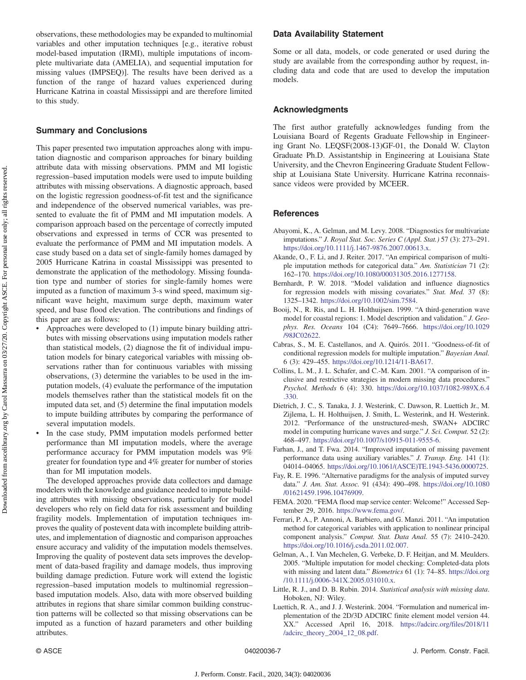# <span id="page-6-0"></span>Summary and Conclusions

This paper presented two imputation approaches along with imputation diagnostic and comparison approaches for binary building attribute data with missing observations. PMM and MI logistic regression–based imputation models were used to impute building attributes with missing observations. A diagnostic approach, based on the logistic regression goodness-of-fit test and the significance and independence of the observed numerical variables, was presented to evaluate the fit of PMM and MI imputation models. A comparison approach based on the percentage of correctly imputed observations and expressed in terms of CCR was presented to evaluate the performance of PMM and MI imputation models. A case study based on a data set of single-family homes damaged by 2005 Hurricane Katrina in coastal Mississippi was presented to demonstrate the application of the methodology. Missing foundation type and number of stories for single-family homes were imputed as a function of maximum 3-s wind speed, maximum significant wave height, maximum surge depth, maximum water speed, and base flood elevation. The contributions and findings of this paper are as follows:

- Approaches were developed to (1) impute binary building attributes with missing observations using imputation models rather than statistical models, (2) diagnose the fit of individual imputation models for binary categorical variables with missing observations rather than for continuous variables with missing observations, (3) determine the variables to be used in the imputation models, (4) evaluate the performance of the imputation models themselves rather than the statistical models fit on the imputed data set, and (5) determine the final imputation models to impute building attributes by comparing the performance of several imputation models.
- In the case study, PMM imputation models performed better performance than MI imputation models, where the average performance accuracy for PMM imputation models was 9% greater for foundation type and 4% greater for number of stories than for MI imputation models.

The developed approaches provide data collectors and damage modelers with the knowledge and guidance needed to impute building attributes with missing observations, particularly for model developers who rely on field data for risk assessment and building fragility models. Implementation of imputation techniques improves the quality of postevent data with incomplete building attributes, and implementation of diagnostic and comparison approaches ensure accuracy and validity of the imputation models themselves. Improving the quality of postevent data sets improves the development of data-based fragility and damage models, thus improving building damage prediction. Future work will extend the logistic regression–based imputation models to multinomial regression– based imputation models. Also, data with more observed building attributes in regions that share similar common building construction patterns will be collected so that missing observations can be imputed as a function of hazard parameters and other building attributes.

## Data Availability Statement

Some or all data, models, or code generated or used during the study are available from the corresponding author by request, including data and code that are used to develop the imputation models.

### Acknowledgments

The first author gratefully acknowledges funding from the Louisiana Board of Regents Graduate Fellowship in Engineering Grant No. LEQSF(2008-13)GF-01, the Donald W. Clayton Graduate Ph.D. Assistantship in Engineering at Louisiana State University, and the Chevron Engineering Graduate Student Fellowship at Louisiana State University. Hurricane Katrina reconnaissance videos were provided by MCEER.

#### **References**

- Abayomi, K., A. Gelman, and M. Levy. 2008. "Diagnostics for multivariate imputations." J. Royal Stat. Soc. Series C (Appl. Stat.) 57 (3): 273–291. [https://doi.org/10.1111/j.1467-9876.2007.00613.x.](https://doi.org/10.1111/j.1467-9876.2007.00613.x)
- Akande, O., F. Li, and J. Reiter. 2017. "An empirical comparison of multiple imputation methods for categorical data." Am. Statistician 71 (2): 162–170. <https://doi.org/10.1080/00031305.2016.1277158>.
- Bernhardt, P. W. 2018. "Model validation and influence diagnostics for regression models with missing covariates." Stat. Med. 37 (8): 1325–1342. <https://doi.org/10.1002/sim.7584>.
- Booij, N., R. Ris, and L. H. Holthuijsen. 1999. "A third-generation wave model for coastal regions: 1. Model description and validation." J. Geophys. Res. Oceans 104 (C4): 7649–7666. [https://doi.org/10.1029](https://doi.org/10.1029/98JC02622) [/98JC02622.](https://doi.org/10.1029/98JC02622)
- Cabras, S., M. E. Castellanos, and A. Quirós. 2011. "Goodness-of-fit of conditional regression models for multiple imputation." Bayesian Anal. 6 (3): 429–455. <https://doi.org/10.1214/11-BA617>.
- Collins, L. M., J. L. Schafer, and C.-M. Kam. 2001. "A comparison of inclusive and restrictive strategies in modern missing data procedures." Psychol. Methods 6 (4): 330. [https://doi.org/10.1037/1082-989X.6.4](https://doi.org/10.1037/1082-989X.6.4.330) [.330.](https://doi.org/10.1037/1082-989X.6.4.330)
- Dietrich, J. C., S. Tanaka, J. J. Westerink, C. Dawson, R. Luettich Jr., M. Zijlema, L. H. Holthuijsen, J. Smith, L. Westerink, and H. Westerink. 2012. "Performance of the unstructured-mesh, SWAN+ ADCIRC model in computing hurricane waves and surge." J. Sci. Comput. 52 (2): 468–497. <https://doi.org/10.1007/s10915-011-9555-6>.
- Farhan, J., and T. Fwa. 2014. "Improved imputation of missing pavement performance data using auxiliary variables." J. Transp. Eng. 141 (1): 04014–04065. [https://doi.org/10.1061/\(ASCE\)TE.1943-5436.0000725](https://doi.org/10.1061/(ASCE)TE.1943-5436.0000725).
- Fay, R. E. 1996. "Alternative paradigms for the analysis of imputed survey data." J. Am. Stat. Assoc. 91 (434): 490–498. [https://doi.org/10.1080](https://doi.org/10.1080/01621459.1996.10476909) [/01621459.1996.10476909.](https://doi.org/10.1080/01621459.1996.10476909)
- FEMA. 2020. "FEMA flood map service center: Welcome!" Accessed September 29, 2016. [https://www.fema.gov/.](https://www.fema.gov/)
- Ferrari, P. A., P. Annoni, A. Barbiero, and G. Manzi. 2011. "An imputation method for categorical variables with application to nonlinear principal component analysis." Comput. Stat. Data Anal. 55 (7): 2410–2420. [https://doi.org/10.1016/j.csda.2011.02.007.](https://doi.org/10.1016/j.csda.2011.02.007)
- Gelman, A., I. Van Mechelen, G. Verbeke, D. F. Heitjan, and M. Meulders. 2005. "Multiple imputation for model checking: Completed-data plots with missing and latent data." Biometrics 61 (1): 74–85. [https://doi.org](https://doi.org/10.1111/j.0006-341X.2005.031010.x) [/10.1111/j.0006-341X.2005.031010.x](https://doi.org/10.1111/j.0006-341X.2005.031010.x).
- Little, R. J., and D. B. Rubin. 2014. Statistical analysis with missing data. Hoboken, NJ: Wiley.
- Luettich, R. A., and J. J. Westerink. 2004. "Formulation and numerical implementation of the 2D/3D ADCIRC finite element model version 44. XX." Accessed April 16, 2018. [https://adcirc.org/files/2018/11](https://adcirc.org/files/2018/11/adcirc_theory_2004_12_08.pdf) [/adcirc\\_theory\\_2004\\_12\\_08.pdf.](https://adcirc.org/files/2018/11/adcirc_theory_2004_12_08.pdf)